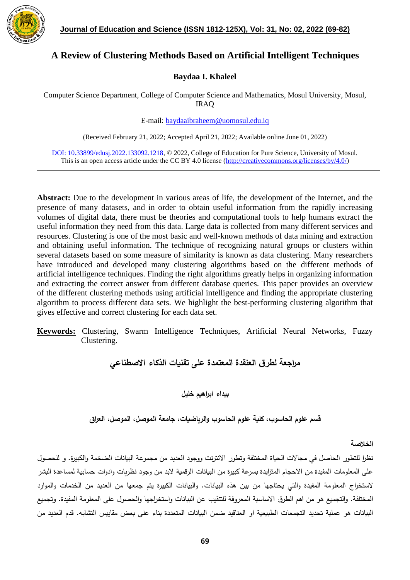

# **A Review of Clustering Methods Based on Artificial Intelligent Techniques**

### **Baydaa I. Khaleel**

Computer Science Department, College of Computer Science and Mathematics, Mosul University, Mosul, IRAQ

E-mail: [baydaaibraheem@uomosul.edu.iq](mailto:baydaaibraheem@uomosul.edu.iq)

(Received February 21, 2022; Accepted April 21, 2022; Available online June 01, 2022)

DOI: 10.33899/edusj.2022.133092.1218, © 2022, College of Education for Pure Science, University of Mosul. This is an open access article under the CC BY 4.0 license [\(http://creativecommons.org/licenses/by/4.0/\)](http://creativecommons.org/licenses/by/4.0/)

**Abstract:** Due to the development in various areas of life, the development of the Internet, and the presence of many datasets, and in order to obtain useful information from the rapidly increasing volumes of digital data, there must be theories and computational tools to help humans extract the useful information they need from this data. Large data is collected from many different services and resources. Clustering is one of the most basic and well-known methods of data mining and extraction and obtaining useful information. The technique of recognizing natural groups or clusters within several datasets based on some measure of similarity is known as data clustering. Many researchers have introduced and developed many clustering algorithms based on the different methods of artificial intelligence techniques. Finding the right algorithms greatly helps in organizing information and extracting the correct answer from different database queries. This paper provides an overview of the different clustering methods using artificial intelligence and finding the appropriate clustering algorithm to process different data sets. We highlight the best-performing clustering algorithm that gives effective and correct clustering for each data set.

**Keywords:** Clustering, Swarm Intelligence Techniques, Artificial Neural Networks, Fuzzy Clustering.

## **م ارجعة لطرق العنقدة المعتمدة على تقنيات الذكاء االصطناعي**

**بيداء ابراهيم خليل**

**قسم علوم الحاسوب، كلية علوم الحاسوب والرياضيات، جامعة الموصل، الموصل، العراق** 

**الخالصة**

نظرا للتطور الحاصل في مجاالت الحياة المختلفة وتطور االنترنت ووجود العديد من مجموعة البيانات الضخمة والكبيرة. و للحصول على المعلومات المفيدة من االحجام المتزايدة بسرعة كبيرة من البيانات الرقمية البد من وجود نظريات وادوات حسابية لمساعدة البشر لاستخراج المعلومة المفيدة والتي يحتاجها من بين هذه البيانات. والبيانات الكبيرة يتم جمعها من العديد من الخدمات والموارد المختلفة. والتجميع هو من اهم الطرق االساسية المعروفة للتنقيب عن البيانات واستخ ارجها والحصول على المعلومة المفيدة. وتجميع البيانات هو عملية تحديد التجمعات الطبيعية او العناقيد ضمن البيانات المتعددة بناء على بعض مقاييس التشابه. قدم العديد من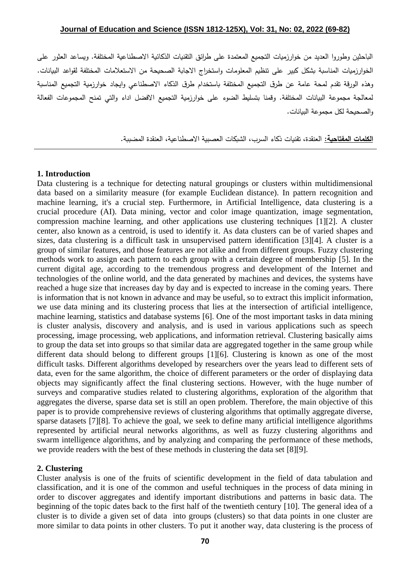#### **Journal of Education and Science (ISSN 1812-125X), Vol: 31, No: 02, 2022 (69-82)**

الباحثين وطوروا العديد من خوارزميات التجميع المعتمدة على طرائق التقنيات الذكائية االصطناعية المختلفة. ويساعد العثور على الخوارزميات المناسبة بشكل كبير على تنظيم المعلومات واستخراج االجابة الصحيحة من االستعالمات المختلفة لقواعد البيانات. وهذه الورقة تقدم لمحة عامة عن طرق التجميع المختلفة باستخدام طرق الذكاء االصطناعي وايجاد خوارزمية التجميع المناسبة لمعالجة مجموعة البيانات المختلفة. وقمنا بتسليط الضوء على خوارزمية التجميع االفضل اداء والتي تمنح المجموعات الفعالة والصحيحة لكل مجموعة البيانات.

**الكلمات المفتاحية:** العنقدة، تقنيات ذكاء السرب، الشبكات العصبية االصطناعية، العنقدة المضببة.

#### **1. Introduction**

Data clustering is a technique for detecting natural groupings or clusters within multidimensional data based on a similarity measure (for example Euclidean distance). In pattern recognition and machine learning, it's a crucial step. Furthermore, in Artificial Intelligence, data clustering is a crucial procedure (AI). Data mining, vector and color image quantization, image segmentation, compression machine learning, and other applications use clustering techniques [1][2]. A cluster center, also known as a centroid, is used to identify it. As data clusters can be of varied shapes and sizes, data clustering is a difficult task in unsupervised pattern identification [3][4]. A cluster is a group of similar features, and those features are not alike and from different groups. Fuzzy clustering methods work to assign each pattern to each group with a certain degree of membership [5]. In the current digital age, according to the tremendous progress and development of the Internet and technologies of the online world, and the data generated by machines and devices, the systems have reached a huge size that increases day by day and is expected to increase in the coming years. There is information that is not known in advance and may be useful, so to extract this implicit information, we use data mining and its clustering process that lies at the intersection of artificial intelligence, machine learning, statistics and database systems [6]. One of the most important tasks in data mining is cluster analysis, discovery and analysis, and is used in various applications such as speech processing, image processing, web applications, and information retrieval. Clustering basically aims to group the data set into groups so that similar data are aggregated together in the same group while different data should belong to different groups [1][6]. Clustering is known as one of the most difficult tasks. Different algorithms developed by researchers over the years lead to different sets of data, even for the same algorithm, the choice of different parameters or the order of displaying data objects may significantly affect the final clustering sections. However, with the huge number of surveys and comparative studies related to clustering algorithms, exploration of the algorithm that aggregates the diverse, sparse data set is still an open problem. Therefore, the main objective of this paper is to provide comprehensive reviews of clustering algorithms that optimally aggregate diverse, sparse datasets [7][8]. To achieve the goal, we seek to define many artificial intelligence algorithms represented by artificial neural networks algorithms, as well as fuzzy clustering algorithms and swarm intelligence algorithms, and by analyzing and comparing the performance of these methods, we provide readers with the best of these methods in clustering the data set [8][9].

#### **2. Clustering**

Cluster analysis is one of the fruits of scientific development in the field of data tabulation and classification, and it is one of the common and useful techniques in the process of data mining in order to discover aggregates and identify important distributions and patterns in basic data. The beginning of the topic dates back to the first half of the twentieth century [10]. The general idea of a cluster is to divide a given set of data into groups (clusters) so that data points in one cluster are more similar to data points in other clusters. To put it another way, data clustering is the process of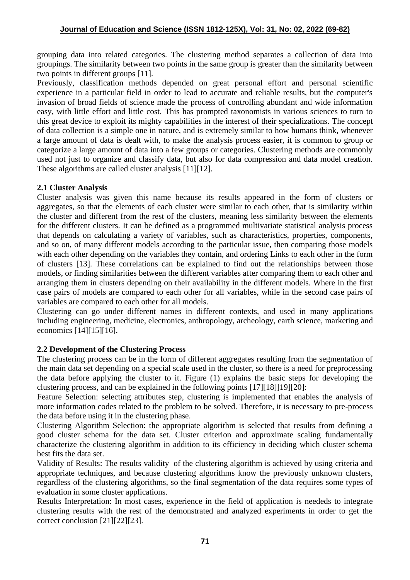grouping data into related categories. The clustering method separates a collection of data into groupings. The similarity between two points in the same group is greater than the similarity between two points in different groups [11].

Previously, classification methods depended on great personal effort and personal scientific experience in a particular field in order to lead to accurate and reliable results, but the computer's invasion of broad fields of science made the process of controlling abundant and wide information easy, with little effort and little cost. This has prompted taxonomists in various sciences to turn to this great device to exploit its mighty capabilities in the interest of their specializations. The concept of data collection is a simple one in nature, and is extremely similar to how humans think, whenever a large amount of data is dealt with, to make the analysis process easier, it is common to group or categorize a large amount of data into a few groups or categories. Clustering methods are commonly used not just to organize and classify data, but also for data compression and data model creation. These algorithms are called cluster analysis [11][12].

## **2.1 Cluster Analysis**

Cluster analysis was given this name because its results appeared in the form of clusters or aggregates, so that the elements of each cluster were similar to each other, that is similarity within the cluster and different from the rest of the clusters, meaning less similarity between the elements for the different clusters. It can be defined as a programmed multivariate statistical analysis process that depends on calculating a variety of variables, such as characteristics, properties, components, and so on, of many different models according to the particular issue, then comparing those models with each other depending on the variables they contain, and ordering Links to each other in the form of clusters [13]. These correlations can be explained to find out the relationships between those models, or finding similarities between the different variables after comparing them to each other and arranging them in clusters depending on their availability in the different models. Where in the first case pairs of models are compared to each other for all variables, while in the second case pairs of variables are compared to each other for all models.

Clustering can go under different names in different contexts, and used in many applications including engineering, medicine, electronics, anthropology, archeology, earth science, marketing and economics [14][15][16].

## **2.2 Development of the Clustering Process**

The clustering process can be in the form of different aggregates resulting from the segmentation of the main data set depending on a special scale used in the cluster, so there is a need for preprocessing the data before applying the cluster to it. Figure (1) explains the basic steps for developing the clustering process, and can be explained in the following points [17][18]]19][20]:

Feature Selection: selecting attributes step, clustering is implemented that enables the analysis of more information codes related to the problem to be solved. Therefore, it is necessary to pre-process the data before using it in the clustering phase.

Clustering Algorithm Selection: the appropriate algorithm is selected that results from defining a good cluster schema for the data set. Cluster criterion and approximate scaling fundamentally characterize the clustering algorithm in addition to its efficiency in deciding which cluster schema best fits the data set.

Validity of Results: The results validity of the clustering algorithm is achieved by using criteria and appropriate techniques, and because clustering algorithms know the previously unknown clusters, regardless of the clustering algorithms, so the final segmentation of the data requires some types of evaluation in some cluster applications.

Results Interpretation: In most cases, experience in the field of application is neededs to integrate clustering results with the rest of the demonstrated and analyzed experiments in order to get the correct conclusion [21][22][23].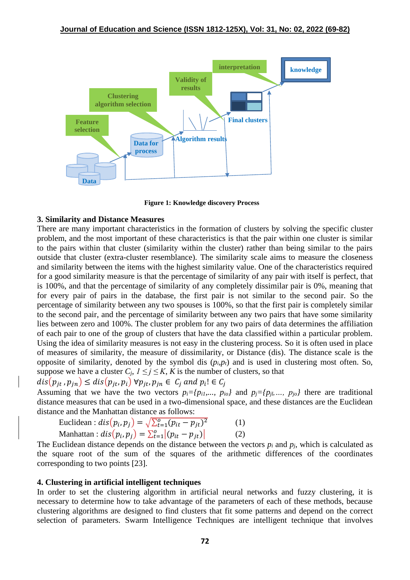

**Figure 1: Knowledge discovery Process**

#### **3. Similarity and Distance Measures**

There are many important characteristics in the formation of clusters by solving the specific cluster problem, and the most important of these characteristics is that the pair within one cluster is similar to the pairs within that cluster (similarity within the cluster) rather than being similar to the pairs outside that cluster (extra-cluster resemblance). The similarity scale aims to measure the closeness and similarity between the items with the highest similarity value. One of the characteristics required for a good similarity measure is that the percentage of similarity of any pair with itself is perfect, that is 100%, and that the percentage of similarity of any completely dissimilar pair is 0%, meaning that for every pair of pairs in the database, the first pair is not similar to the second pair. So the percentage of similarity between any two spouses is 100%, so that the first pair is completely similar to the second pair, and the percentage of similarity between any two pairs that have some similarity lies between zero and 100%. The cluster problem for any two pairs of data determines the affiliation of each pair to one of the group of clusters that have the data classified within a particular problem. Using the idea of similarity measures is not easy in the clustering process. So it is often used in place of measures of similarity, the measure of dissimilarity, or Distance (dis). The distance scale is the opposite of similarity, denoted by the symbol dis  $(p_i, p_f)$  and is used in clustering most often. So, suppose we have a cluster  $C_i$ ,  $1 \leq j \leq K$ ,  $K$  is the number of clusters, so that

$$
dis(p_{jt}, p_{jn}) \le dis(p_{jt}, p_i) \,\forall p_{jt}, p_{jn} \in C_j \text{ and } p_i! \in C_j
$$

Assuming that we have the two vectors  $p_i = \{p_{i1}, \ldots, p_{io}\}\$  and  $p_j = \{p_{i1}, \ldots, p_{io}\}\$  there are traditional distance measures that can be used in a two-dimensional space, and these distances are the Euclidean distance and the Manhattan distance as follows:

Euclidean :  $dis(p_i, p_j) = \sqrt{\sum_{t=1}^{o} (p_{it} - p_{jt})^2}$ (1) Manhattan :  $dis(p_i, p_j) = \sum_{t=1}^{o} |(p_{it} - p_{jt})|$ (2)

The Euclidean distance depends on the distance between the vectors  $p_i$  and  $p_j$ , which is calculated as the square root of the sum of the squares of the arithmetic differences of the coordinates corresponding to two points [23].

#### **4. Clustering in artificial intelligent techniques**

In order to set the clustering algorithm in artificial neural networks and fuzzy clustering, it is necessary to determine how to take advantage of the parameters of each of these methods, because clustering algorithms are designed to find clusters that fit some patterns and depend on the correct selection of parameters. Swarm Intelligence Techniques are intelligent technique that involves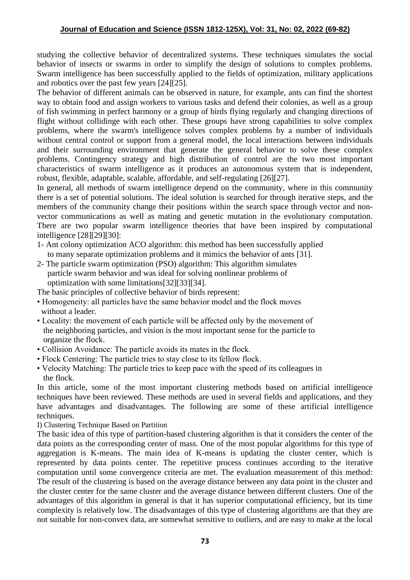studying the collective behavior of decentralized systems. These techniques simulates the social behavior of insects or swarms in order to simplify the design of solutions to complex problems. Swarm intelligence has been successfully applied to the fields of optimization, military applications and robotics over the past few years [24][25].

The behavior of different animals can be observed in nature, for example, ants can find the shortest way to obtain food and assign workers to various tasks and defend their colonies, as well as a group of fish swimming in perfect harmony or a group of birds flying regularly and changing directions of flight without collidinge with each other. These groups have strong capabilities to solve complex problems, where the swarm's intelligence solves complex problems by a number of individuals without central control or support from a general model, the local interactions between individuals and their surrounding environment that generate the general behavior to solve these complex problems. Contingency strategy and high distribution of control are the two most important characteristics of swarm intelligence as it produces an autonomous system that is independent, robust, flexible, adaptable, scalable, affordable, and self-regulating [26][27].

In general, all methods of swarm intelligence depend on the community, where in this community there is a set of potential solutions. The ideal solution is searched for through iterative steps, and the members of the community change their positions within the search space through vector and nonvector communications as well as mating and genetic mutation in the evolutionary computation. There are two popular swarm intelligence theories that have been inspired by computational intelligence [28][29][30]:

- 1- Ant colony optimization ACO algorithm: this method has been successfully applied to many separate optimization problems and it mimics the behavior of ants [31].
- 2- The particle swarm optimization (PSO) algorithm: This algorithm simulates particle swarm behavior and was ideal for solving nonlinear problems of optimization with some limitations[32][33][34].

The basic principles of collective behavior of birds represent:

- Homogeneity: all particles have the same behavior model and the flock moves without a leader.
- Locality: the movement of each particle will be affected only by the movement of the neighboring particles, and vision is the most important sense for the particle to organize the flock.
- Collision Avoidance: The particle avoids its mates in the flock.
- Flock Centering: The particle tries to stay close to its fellow flock.
- Velocity Matching: The particle tries to keep pace with the speed of its colleagues in the flock.

In this article, some of the most important clustering methods based on artificial intelligence techniques have been reviewed. These methods are used in several fields and applications, and they have advantages and disadvantages. The following are some of these artificial intelligence techniques.

I) Clustering Technique Based on Partition

The basic idea of this type of partition-based clustering algorithm is that it considers the center of the data points as the corresponding center of mass. One of the most popular algorithms for this type of aggregation is K-means. The main idea of K-means is updating the cluster center, which is represented by data points center. The repetitive process continues according to the iterative computation until some convergence criteria are met. The evaluation measurement of this method: The result of the clustering is based on the average distance between any data point in the cluster and the cluster center for the same cluster and the average distance between different clusters. One of the advantages of this algorithm in general is that it has superior computational efficiency, but its time complexity is relatively low. The disadvantages of this type of clustering algorithms are that they are not suitable for non-convex data, are somewhat sensitive to outliers, and are easy to make at the local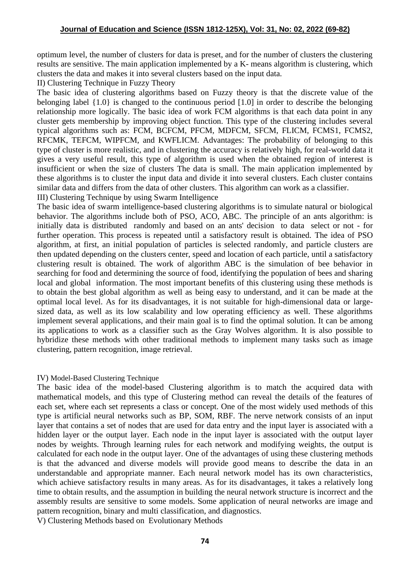optimum level, the number of clusters for data is preset, and for the number of clusters the clustering results are sensitive. The main application implemented by a K- means algorithm is clustering, which clusters the data and makes it into several clusters based on the input data.

II) Clustering Technique in Fuzzy Theory

The basic idea of clustering algorithms based on Fuzzy theory is that the discrete value of the belonging label {1.0} is changed to the continuous period [1.0] in order to describe the belonging relationship more logically. The basic idea of work FCM algorithms is that each data point in any cluster gets membership by improving object function. This type of the clustering includes several typical algorithms such as: FCM, BCFCM, PFCM, MDFCM, SFCM, FLICM, FCMS1, FCMS2, RFCMK, TEFCM, WIPFCM, and KWFLICM. Advantages: The probability of belonging to this type of cluster is more realistic, and in clustering the accuracy is relatively high, for real-world data it gives a very useful result, this type of algorithm is used when the obtained region of interest is insufficient or when the size of clusters The data is small. The main application implemented by these algorithms is to cluster the input data and divide it into several clusters. Each cluster contains similar data and differs from the data of other clusters. This algorithm can work as a classifier.

III) Clustering Technique by using Swarm Intelligence

The basic idea of swarm intelligence-based clustering algorithms is to simulate natural or biological behavior. The algorithms include both of PSO, ACO, ABC. The principle of an ants algorithm: is initially data is distributed randomly and based on an ants' decision to data select or not - for further operation. This process is repeated until a satisfactory result is obtained. The idea of PSO algorithm, at first, an initial population of particles is selected randomly, and particle clusters are then updated depending on the clusters center, speed and location of each particle, until a satisfactory clustering result is obtained. The work of algorithm ABC is the simulation of bee behavior in searching for food and determining the source of food, identifying the population of bees and sharing local and global information. The most important benefits of this clustering using these methods is to obtain the best global algorithm as well as being easy to understand, and it can be made at the optimal local level. As for its disadvantages, it is not suitable for high-dimensional data or largesized data, as well as its low scalability and low operating efficiency as well. These algorithms implement several applications, and their main goal is to find the optimal solution. It can be among its applications to work as a classifier such as the Gray Wolves algorithm. It is also possible to hybridize these methods with other traditional methods to implement many tasks such as image clustering, pattern recognition, image retrieval.

## IV) Model-Based Clustering Technique

The basic idea of the model-based Clustering algorithm is to match the acquired data with mathematical models, and this type of Clustering method can reveal the details of the features of each set, where each set represents a class or concept. One of the most widely used methods of this type is artificial neural networks such as BP, SOM, RBF. The nerve network consists of an input layer that contains a set of nodes that are used for data entry and the input layer is associated with a hidden layer or the output layer. Each node in the input layer is associated with the output layer nodes by weights. Through learning rules for each network and modifying weights, the output is calculated for each node in the output layer. One of the advantages of using these clustering methods is that the advanced and diverse models will provide good means to describe the data in an understandable and appropriate manner. Each neural network model has its own characteristics, which achieve satisfactory results in many areas. As for its disadvantages, it takes a relatively long time to obtain results, and the assumption in building the neural network structure is incorrect and the assembly results are sensitive to some models. Some application of neural networks are image and pattern recognition, binary and multi classification, and diagnostics.

V) Clustering Methods based on Evolutionary Methods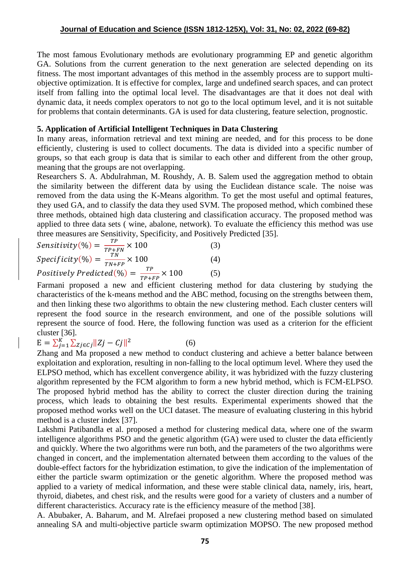The most famous Evolutionary methods are evolutionary programming EP and genetic algorithm GA. Solutions from the current generation to the next generation are selected depending on its fitness. The most important advantages of this method in the assembly process are to support multiobjective optimization. It is effective for complex, large and undefined search spaces, and can protect itself from falling into the optimal local level. The disadvantages are that it does not deal with dynamic data, it needs complex operators to not go to the local optimum level, and it is not suitable for problems that contain determinants. GA is used for data clustering, feature selection, prognostic.

#### **5. Application of Artificial Intelligent Techniques in Data Clustering**

In many areas, information retrieval and text mining are needed, and for this process to be done efficiently, clustering is used to collect documents. The data is divided into a specific number of groups, so that each group is data that is similar to each other and different from the other group, meaning that the groups are not overlapping.

Researchers S. A. Abdulrahman, M. Roushdy, A. B. Salem used the aggregation method to obtain the similarity between the different data by using the Euclidean distance scale. The noise was removed from the data using the K-Means algorithm. To get the most useful and optimal features, they used GA, and to classify the data they used SVM. The proposed method, which combined these three methods, obtained high data clustering and classification accuracy. The proposed method was applied to three data sets ( wine, abalone, network). To evaluate the efficiency this method was use three measures are Sensitivity, Specificity, and Positively Predicted [35].

$$
Sensitivity(\%) = \frac{TP}{TP+FN} \times 100\tag{3}
$$

$$
Specificity(\%) = \frac{rN}{TN} \times 100
$$
 (4)

$$
Positively Predicted(\%) = \frac{TP}{TP+FP} \times 100
$$
 (5)

Farmani proposed a new and efficient clustering method for data clustering by studying the characteristics of the k-means method and the ABC method, focusing on the strengths between them, and then linking these two algorithms to obtain the new clustering method. Each cluster centers will represent the food source in the research environment, and one of the possible solutions will represent the source of food. Here, the following function was used as a criterion for the efficient cluster [36].

$$
E = \sum_{j=1}^{K} \sum_{Zj \in cj} ||Zj - Cj||^2
$$
 (6)

Zhang and Ma proposed a new method to conduct clustering and achieve a better balance between exploitation and exploration, resulting in non-falling to the local optimum level. Where they used the ELPSO method, which has excellent convergence ability, it was hybridized with the fuzzy clustering algorithm represented by the FCM algorithm to form a new hybrid method, which is FCM-ELPSO. The proposed hybrid method has the ability to correct the cluster direction during the training process, which leads to obtaining the best results. Experimental experiments showed that the proposed method works well on the UCI dataset. The measure of evaluating clustering in this hybrid method is a cluster index [37].

Lakshmi Patibandla et al. proposed a method for clustering medical data, where one of the swarm intelligence algorithms PSO and the genetic algorithm (GA) were used to cluster the data efficiently and quickly. Where the two algorithms were run both, and the parameters of the two algorithms were changed in concert, and the implementation alternated between them according to the values of the double-effect factors for the hybridization estimation, to give the indication of the implementation of either the particle swarm optimization or the genetic algorithm. Where the proposed method was applied to a variety of medical information, and these were stable clinical data, namely, iris, heart, thyroid, diabetes, and chest risk, and the results were good for a variety of clusters and a number of different characteristics. Accuracy rate is the efficiency measure of the method [38].

A. Abubaker, A. Baharum, and M. Alrefaei proposed a new clustering method based on simulated annealing SA and multi-objective particle swarm optimization MOPSO. The new proposed method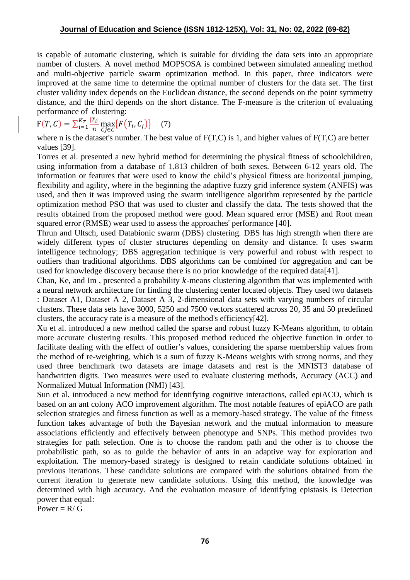is capable of automatic clustering, which is suitable for dividing the data sets into an appropriate number of clusters. A novel method MOPSOSA is combined between simulated annealing method and multi-objective particle swarm optimization method. In this paper, three indicators were improved at the same time to determine the optimal number of clusters for the data set. The first cluster validity index depends on the Euclidean distance, the second depends on the point symmetry distance, and the third depends on the short distance. The F-measure is the criterion of evaluating performance of clustering:

$$
F(T, C) = \sum_{i=1}^{K_T} \frac{|T_i|}{n} \max_{C_j \in C} \{ F(T_i, C_j) \} \tag{7}
$$

where n is the dataset's number. The best value of F(T,C) is 1, and higher values of F(T,C) are better values [39].

Torres et al. presented a new hybrid method for determining the physical fitness of schoolchildren, using information from a database of 1,813 children of both sexes. Between 6-12 years old. The information or features that were used to know the child's physical fitness are horizontal jumping, flexibility and agility, where in the beginning the adaptive fuzzy grid inference system (ANFIS) was used, and then it was improved using the swarm intelligence algorithm represented by the particle optimization method PSO that was used to cluster and classify the data. The tests showed that the results obtained from the proposed method were good. Mean squared error (MSE) and Root mean squared error (RMSE) wear used to assess the approaches' performance [40].

Thrun and Ultsch, used Databionic swarm (DBS) clustering. DBS has high strength when there are widely different types of cluster structures depending on density and distance. It uses swarm intelligence technology; DBS aggregation technique is very powerful and robust with respect to outliers than traditional algorithms. DBS algorithms can be combined for aggregation and can be used for knowledge discovery because there is no prior knowledge of the required data[41].

Chan, Ke, and Im, presented a probability  $k$ -means clustering algorithm that was implemented with a neural network architecture for finding the clustering center located objects. They used two datasets : Dataset A1, Dataset A 2, Dataset A 3, 2-dimensional data sets with varying numbers of circular clusters. These data sets have 3000, 5250 and 7500 vectors scattered across 20, 35 and 50 predefined clusters, the accuracy rate is a measure of the method's efficiency[42].

Xu et al. introduced a new method called the sparse and robust fuzzy K-Means algorithm, to obtain more accurate clustering results. This proposed method reduced the objective function in order to facilitate dealing with the effect of outlier's values, considering the sparse membership values from the method of re-weighting, which is a sum of fuzzy K-Means weights with strong norms, and they used three benchmark two datasets are image datasets and rest is the MNIST3 database of handwritten digits. Two measures were used to evaluate clustering methods, Accuracy (ACC) and Normalized Mutual Information (NMI) [43].

[Sun](https://pubmed.ncbi.nlm.nih.gov/?term=Sun+Y&cauthor_id=28694848) et al. introduced a new method for identifying cognitive interactions, called epiACO, which is based on an ant colony ACO improvement algorithm. The most notable features of epiACO are path selection strategies and fitness function as well as a memory-based strategy. The value of the fitness function takes advantage of both the Bayesian network and the mutual information to measure associations efficiently and effectively between phenotype and SNPs. This method provides two strategies for path selection. One is to choose the random path and the other is to choose the probabilistic path, so as to guide the behavior of ants in an adaptive way for exploration and exploitation. The memory-based strategy is designed to retain candidate solutions obtained in previous iterations. These candidate solutions are compared with the solutions obtained from the current iteration to generate new candidate solutions. Using this method, the knowledge was determined with high accuracy. And the evaluation measure of identifying epistasis is Detection power that equal:

Power =  $R/G$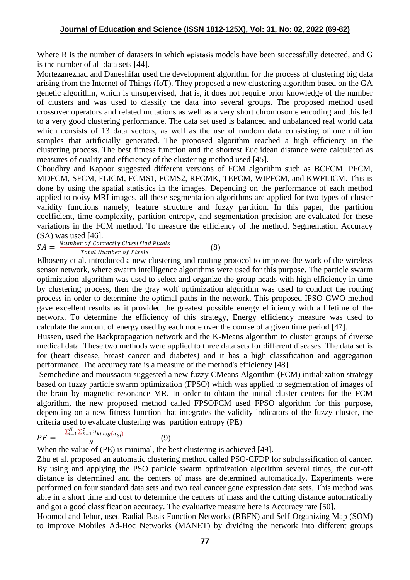Where R is the number of datasets in which epistasis models have been successfully detected, and G is the number of all data sets [44].

[Mortezanezhad](https://ieeexplore.ieee.org/author/37086859635) and [Daneshifar](https://ieeexplore.ieee.org/author/37086860041) used the development algorithm for the process of clustering big data arising from the Internet of Things (IoT). They proposed a new clustering algorithm based on the GA genetic algorithm, which is unsupervised, that is, it does not require prior knowledge of the number of clusters and was used to classify the data into several groups. The proposed method used crossover operators and related mutations as well as a very short chromosome encoding and this led to a very good clustering performance. The data set used is balanced and unbalanced real world data which consists of 13 data vectors, as well as the use of random data consisting of one million samples that artificially generated. The proposed algorithm reached a high efficiency in the clustering process. The best fitness function and the shortest Euclidean distance were calculated as measures of quality and efficiency of the clustering method used [45].

Choudhry and Kapoor suggested different versions of FCM algorithm such as BCFCM, PFCM, MDFCM, SFCM, FLICM, FCMS1, FCMS2, RFCMK, TEFCM, WIPFCM, and KWFLICM. This is done by using the spatial statistics in the images. Depending on the performance of each method applied to noisy MRI images, all these segmentation algorithms are applied for two types of cluster validity functions namely, feature structure and fuzzy partition. In this paper, the partition coefficient, time complexity, partition entropy, and segmentation precision are evaluated for these variations in the FCM method. To measure the efficiency of the method, Segmentation Accuracy (SA) was used [46].

(8)

 $SA = \frac{Number\ of\ correctly\ classified\ Pixels}{Total\ Number\ of\ Pixels}$ 

**Total Number of Pixels** 

Elhoseny et al. introduced a new clustering and routing protocol to improve the work of the wireless sensor network, where swarm intelligence algorithms were used for this purpose. The particle swarm optimization algorithm was used to select and organize the group heads with high efficiency in time by clustering process, then the gray wolf optimization algorithm was used to conduct the routing process in order to determine the optimal paths in the network. This proposed IPSO-GWO method gave excellent results as it provided the greatest possible energy efficiency with a lifetime of the network. To determine the efficiency of this strategy, Energy efficiency measure was used to calculate the amount of energy used by each node over the course of a given time period [47].

Hussen, used the Backpropagation network and the K-Means algorithm to cluster groups of diverse medical data. These two methods were applied to three data sets for different diseases. The data set is for (heart disease, breast cancer and diabetes) and it has a high classification and aggregation performance. The accuracy rate is a measure of the method's efficiency [48].

Semchedine and moussaoui suggested a new fuzzy CMeans Algorithm (FCM) initialization strategy based on fuzzy particle swarm optimization (FPSO) which was applied to segmentation of images of the brain by magnetic resonance MR. In order to obtain the initial cluster centers for the FCM algorithm, the new proposed method called FPSOFCM used FPSO algorithm for this purpose, depending on a new fitness function that integrates the validity indicators of the fuzzy cluster, the criteria used to evaluate clustering was partition entropy (PE)

$$
PE = \frac{-\sum_{i=1}^{N} \sum_{k=1}^{C} u_{ki \log(u_{ki})}}{N}
$$
(9)

When the value of (PE) is minimal, the best clustering is achieved [49].

Zhu et al. proposed an automatic clustering method called PSO-CFDP for subclassification of cancer. By using and applying the PSO particle swarm optimization algorithm several times, the cut-off distance is determined and the centers of mass are determined automatically. Experiments were performed on four standard data sets and two real cancer gene expression data sets. This method was able in a short time and cost to determine the centers of mass and the cutting distance automatically and got a good classification accuracy. The evaluative measure here is Accuracy rate [50].

Hoomod and Jebur, used Radial-Basis Function Networks (RBFN) and Self-Organizing Map (SOM) to improve Mobiles Ad-Hoc Networks (MANET) by dividing the network into different groups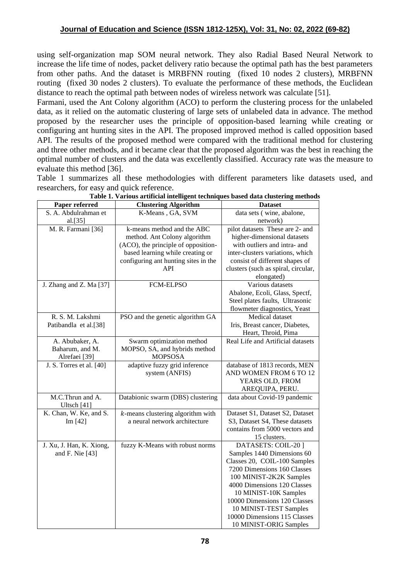using self-organization map SOM neural network. They also Radial Based Neural Network to increase the life time of nodes, packet delivery ratio because the optimal path has the best parameters from other paths. And the dataset is MRBFNN routing (fixed 10 nodes 2 clusters), MRBFNN routing (fixed 30 nodes 2 clusters). To evaluate the performance of these methods, the Euclidean distance to reach the optimal path between nodes of wireless network was calculate [51].

Farmani, used the Ant Colony algorithm (ACO) to perform the clustering process for the unlabeled data, as it relied on the automatic clustering of large sets of unlabeled data in advance. The method proposed by the researcher uses the principle of opposition-based learning while creating or configuring ant hunting sites in the API. The proposed improved method is called opposition based API. The results of the proposed method were compared with the traditional method for clustering and three other methods, and it became clear that the proposed algorithm was the best in reaching the optimal number of clusters and the data was excellently classified. Accuracy rate was the measure to evaluate this method [36].

Table 1 summarizes all these methodologies with different parameters like datasets used, and researchers, for easy and quick reference.

| Paper referred           | <b>Clustering Algorithm</b>          | <b>Dataset</b>                      |
|--------------------------|--------------------------------------|-------------------------------------|
| S. A. Abdulrahman et     | K-Means, GA, SVM                     | data sets (wine, abalone,           |
| al.[35]                  |                                      | network)                            |
| M. R. Farmani [36]       | k-means method and the ABC           | pilot datasets These are 2- and     |
|                          | method. Ant Colony algorithm         | higher-dimensional datasets         |
|                          | (ACO), the principle of opposition-  | with outliers and intra- and        |
|                          | based learning while creating or     | inter-clusters variations, which    |
|                          | configuring ant hunting sites in the | consist of different shapes of      |
|                          | API                                  | clusters (such as spiral, circular, |
|                          |                                      | elongated)                          |
| J. Zhang and Z. Ma [37]  | FCM-ELPSO                            | Various datasets                    |
|                          |                                      | Abalone, Ecoli, Glass, Spectf,      |
|                          |                                      | Steel plates faults, Ultrasonic     |
|                          |                                      | flowmeter diagnostics, Yeast        |
| R. S. M. Lakshmi         | PSO and the genetic algorithm GA     | Medical dataset                     |
| Patibandla et al.[38]    |                                      | Iris, Breast cancer, Diabetes,      |
|                          |                                      | Heart, Throid, Pima                 |
| A. Abubaker, A.          | Swarm optimization method            | Real Life and Artificial datasets   |
| Baharum, and M.          | MOPSO, SA, and hybrids method        |                                     |
| Alrefaei [39]            | <b>MOPSOSA</b>                       |                                     |
| J. S. Torres et al. [40] | adaptive fuzzy grid inference        | database of 1813 records, MEN       |
|                          | system (ANFIS)                       | AND WOMEN FROM 6 TO 12              |
|                          |                                      | YEARS OLD, FROM                     |
|                          |                                      | AREQUIPA, PERU.                     |
| M.C.Thrun and A.         | Databionic swarm (DBS) clustering    | data about Covid-19 pandemic        |
| Ultsch [41]              |                                      |                                     |
| K. Chan, W. Ke, and S.   | $k$ -means clustering algorithm with | Dataset S1, Dataset S2, Dataset     |
| Im [42]                  | a neural network architecture        | S3, Dataset S4, These datasets      |
|                          |                                      | contains from 5000 vectors and      |
|                          |                                      | 15 clusters.                        |
| J. Xu, J. Han, K. Xiong, | fuzzy K-Means with robust norms      | DATASETS: COIL-20]                  |
| and F. Nie [43]          |                                      | Samples 1440 Dimensions 60          |
|                          |                                      | Classes 20, COIL-100 Samples        |
|                          |                                      | 7200 Dimensions 160 Classes         |
|                          |                                      | 100 MINIST-2K2K Samples             |
|                          |                                      | 4000 Dimensions 120 Classes         |
|                          |                                      | 10 MINIST-10K Samples               |
|                          |                                      | 10000 Dimensions 120 Classes        |
|                          |                                      | 10 MINIST-TEST Samples              |
|                          |                                      | 10000 Dimensions 115 Classes        |
|                          |                                      | 10 MINIST-ORIG Samples              |

**Table 1. Various artificial intelligent techniques based data clustering methods**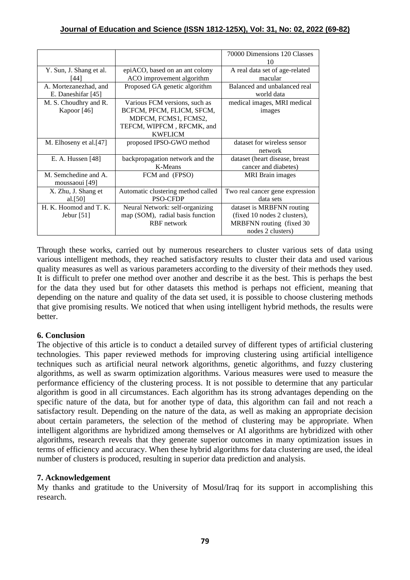|                         |                                    | 70000 Dimensions 120 Classes    |
|-------------------------|------------------------------------|---------------------------------|
|                         |                                    | 10                              |
|                         |                                    | A real data set of age-related  |
| Y. Sun, J. Shang et al. | epiACO, based on an ant colony     |                                 |
| [44]                    | ACO improvement algorithm          | macular                         |
| A. Mortezanezhad, and   | Proposed GA genetic algorithm      | Balanced and unbalanced real    |
| E. Daneshifar [45]      |                                    | world data                      |
| M. S. Choudhry and R.   | Various FCM versions, such as      | medical images, MRI medical     |
| Kapoor [46]             | BCFCM, PFCM, FLICM, SFCM,          | images                          |
|                         | MDFCM, FCMS1, FCMS2,               |                                 |
|                         | TEFCM, WIPFCM, RFCMK, and          |                                 |
|                         | <b>KWFLICM</b>                     |                                 |
| M. Elhoseny et al.[47]  | proposed IPSO-GWO method           | dataset for wireless sensor     |
|                         |                                    | network                         |
| E. A. Hussen $[48]$     | backpropagation network and the    | dataset (heart disease, breast  |
|                         | K-Means                            | cancer and diabetes)            |
| M. Semchedine and A.    | FCM and (FPSO)                     | <b>MRI</b> Brain images         |
| moussaoui [49]          |                                    |                                 |
| X. Zhu, J. Shang et     | Automatic clustering method called | Two real cancer gene expression |
| al. $[50]$              | <b>PSO-CFDP</b>                    | data sets                       |
| H. K. Hoomod and T. K.  | Neural Network: self-organizing    | dataset is MRBFNN routing       |
| Jebur $[51]$            | map (SOM), radial basis function   | (fixed 10 nodes 2 clusters),    |
|                         | <b>RBF</b> network                 | MRBFNN routing (fixed 30        |
|                         |                                    | nodes 2 clusters)               |

Through these works, carried out by numerous researchers to cluster various sets of data using various intelligent methods, they reached satisfactory results to cluster their data and used various quality measures as well as various parameters according to the diversity of their methods they used. It is difficult to prefer one method over another and describe it as the best. This is perhaps the best for the data they used but for other datasets this method is perhaps not efficient, meaning that depending on the nature and quality of the data set used, it is possible to choose clustering methods that give promising results. We noticed that when using intelligent hybrid methods, the results were better.

## **6. Conclusion**

The objective of this article is to conduct a detailed survey of different types of artificial clustering technologies. This paper reviewed methods for improving clustering using artificial intelligence techniques such as artificial neural network algorithms, genetic algorithms, and fuzzy clustering algorithms, as well as swarm optimization algorithms. Various measures were used to measure the performance efficiency of the clustering process. It is not possible to determine that any particular algorithm is good in all circumstances. Each algorithm has its strong advantages depending on the specific nature of the data, but for another type of data, this algorithm can fail and not reach a satisfactory result. Depending on the nature of the data, as well as making an appropriate decision about certain parameters, the selection of the method of clustering may be appropriate. When intelligent algorithms are hybridized among themselves or AI algorithms are hybridized with other algorithms, research reveals that they generate superior outcomes in many optimization issues in terms of efficiency and accuracy. When these hybrid algorithms for data clustering are used, the ideal number of clusters is produced, resulting in superior data prediction and analysis.

## **7. Acknowledgement**

My thanks and gratitude to the University of Mosul/Iraq for its support in accomplishing this research.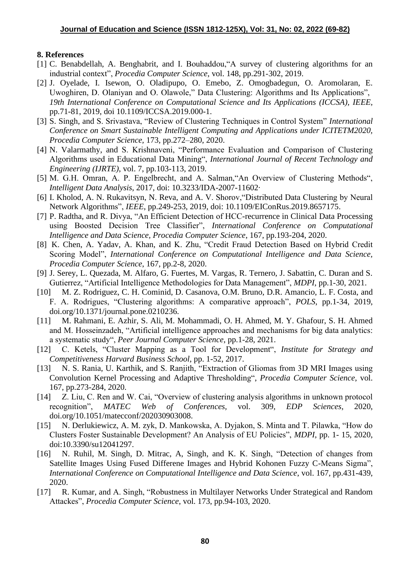### **8. References**

- [1] C. Benabdellah, A. Benghabrit, and I. Bouhaddou, "A survey of clustering algorithms for an industrial context", *Procedia Computer Science*, vol. 148, pp.291-302, 2019.
- [2] J. Oyelade, I. Isewon, O. Oladipupo, O. Emebo, Z. Omogbadegun, O. Aromolaran, E. Uwoghiren, D. Olaniyan and O. Olawole," Data Clustering: Algorithms and Its Applications", *19th International Conference on Computational Science and Its Applications (ICCSA), IEEE,* pp.71-81, 2019, doi 10.1109/ICCSA.2019.000-1.
- [3] S. Singh, and S. Srivastava, "Review of Clustering Techniques in Control System" *International Conference on Smart Sustainable Intelligent Computing and Applications under ICITETM2020, Procedia Computer Science,* 173, pp.272–280, 2020.
- [4] N. Valarmathy, and S. Krishnaveni, "Performance Evaluation and Comparison of Clustering Algorithms used in Educational Data Mining", *International Journal of Recent Technology and Engineering (IJRTE)*, vol. 7, pp.103-113, 2019.
- [5] M. G.H. Omran, A. P. Engelbrecht, and A. Salman,"An Overview of Clustering Methods", *Intelligent Data Analysis*, 2017, doi: 10.3233/IDA-2007-11602·
- [6] I. Kholod, A. N. Rukavitsyn, N. Reva, and A. V. Shorov,"Distributed Data Clustering by Neural Network Algorithms", *IEEE*, pp.249-253, 2019, doi: 10.1109/EIConRus.2019.8657175.
- [7] P. Radtha, and R. Divya, "An Efficient Detection of HCC-recurrence in Clinical Data Processing using Boosted Decision Tree Classifier", *International Conference on Computational Intelligence and Data Science, Procedia Computer Science*, 167, pp.193-204, 2020.
- [8] K. Chen, A. Yadav, A. Khan, and K. Zhu, "Credit Fraud Detection Based on Hybrid Credit Scoring Model", *International Conference on Computational Intelligence and Data Science, Procedia Computer Science*, 167, pp.2-8, 2020.
- [9] J. Serey, L. Quezada, M. Alfaro, G. Fuertes, M. Vargas, R. Ternero, J. Sabattin, C. Duran and S. Gutierrez, "Artificial Intelligence Methodologies for Data Management", *MDPI*, pp.1-30, 2021.
- [10] M. Z. Rodriguez, C. H. Cominid, D. Casanova, O.M. Bruno, D.R. Amancio, L. F. Costa, and F. A. Rodrigues, "Clustering algorithms: A comparative approach", *POLS*, pp.1-34, 2019, doi.org/10.1371/journal.pone.0210236.
- [11] M. Rahmani, E. Azhir, S. Ali, M. Mohammadi, O. H. Ahmed, M. Y. Ghafour, S. H. Ahmed and M. Hosseinzadeh, "Artificial intelligence approaches and mechanisms for big data analytics: a systematic study", *Peer Journal Computer Science*, pp.1-28, 2021.
- [12] C. Ketels, "Cluster Mapping as a Tool for Development", *Institute for Strategy and Competitiveness Harvard Business School*, pp. 1-52, 2017.
- [13] N. S. Rania, U. Karthik, and S. Ranjith, "Extraction of Gliomas from 3D MRI Images using Convolution Kernel Processing and Adaptive Thresholding", *Procedia Computer Science*, vol. 167, pp.273-284, 2020.
- [14] Z. Liu, C. Ren and W. Cai, "Overview of clustering analysis algorithms in unknown protocol recognition", *MATEC Web of Conferences,* vol. 309, *EDP Sciences*, 2020, doi.org/10.1051/matecconf/202030903008.
- [15] N. Derlukiewicz, A. M. zyk, D. Mankowska, A. Dyjakon, S. Minta and T. Pilawka, "How do Clusters Foster Sustainable Development? An Analysis of EU Policies", *MDPI*, pp. 1- 15, 2020, doi:10.3390/su12041297.
- [16] N. Ruhil, M. Singh, D. Mitrac, A, Singh, and K. K. Singh, "Detection of changes from Satellite Images Using Fused Differene Images and Hybrid Kohonen Fuzzy C-Means Sigma", *International Conference on Computational Intelligence and Data Science*, vol. 167, pp.431-439, 2020.
- [17] R. Kumar, and A. Singh, "Robustness in Multilayer Networks Under Strategical and Random Attackes", *Procedia Computer Science*, vol. 173, pp.94-103, 2020.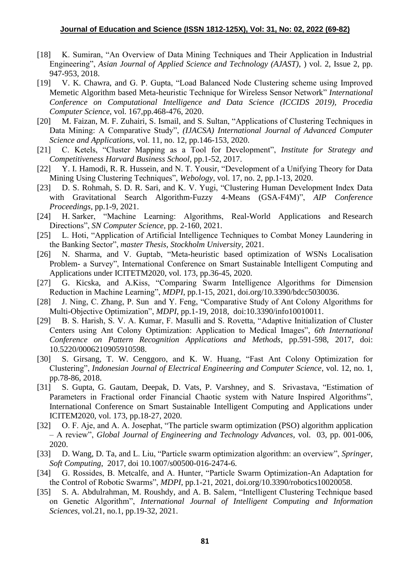- [18] K. Sumiran, "An Overview of Data Mining Techniques and Their Application in Industrial Engineering", *Asian Journal of Applied Science and Technology (AJAST)*, ) vol. 2, Issue 2, pp. 947-953, 2018.
- [19] V. K. Chawra, and G. P. Gupta, "Load Balanced Node Clustering scheme using Improved Memetic Algorithm based Meta-heuristic Technique for Wireless Sensor Network" *International Conference on Computational Intelligence and Data Science (ICCIDS 2019), Procedia Computer Science*, vol. 167,pp.468-476, 2020.
- [20] M. Faizan, M. F. Zuhairi, S. Ismail, and S. Sultan, "Applications of Clustering Techniques in Data Mining: A Comparative Study", *(IJACSA) International Journal of Advanced Computer Science and Applications*, vol. 11, no. 12, pp.146-153, 2020.
- [21] C. Ketels, "Cluster Mapping as a Tool for Development", *Institute for Strategy and Competitiveness Harvard Business School*, pp.1-52, 2017.
- [22] Y. I. Hamodi, R. R. Hussein, and N. T. Yousir, "Development of a Unifying Theory for Data Mining Using Clustering Techniques", *Webology*, vol. 17, no. 2, pp.1-13, 2020.
- [23] D. S. Rohmah, S. D. R. Sari, and K. V. Yugi, "Clustering Human Development Index Data with Gravitational Search Algorithm-Fuzzy 4-Means (GSA-F4M)", *AIP Conference Proceedings*, pp.1-9, 2021.
- [24] H. Sarker, "Machine Learning: Algorithms, Real-World Applications and Research Directions", *SN Computer Science,* pp. 2-160, 2021.
- [25] L. Hoti, "Application of Artificial Intelligence Techniques to Combat Money Laundering in the Banking Sector", *master Thesis, Stockholm University*, 2021.
- [26] N. Sharma, and V. Guptab, "Meta-heuristic based optimization of WSNs Localisation Problem- a Survey", International Conference on Smart Sustainable Intelligent Computing and Applications under ICITETM2020, vol. 173, pp.36-45, 2020.
- [27] G. Kicska, and A.Kiss, "Comparing Swarm Intelligence Algorithms for Dimension Reduction in Machine Learning", *MDPI*, pp.1-15, 2021, doi.org/10.3390/bdcc5030036.
- [28] J. Ning, C. Zhang, P. Sun and Y. Feng, "Comparative Study of Ant Colony Algorithms for Multi-Objective Optimization", *MDPI*, pp.1-19, 2018, doi:10.3390/info10010011.
- [29] B. S. Harish, S. V. A. Kumar, F. Masulli and S. Rovetta, "Adaptive Initialization of Cluster Centers using Ant Colony Optimization: Application to Medical Images", *6th International Conference on Pattern Recognition Applications and Methods*, pp.591-598, 2017, doi: 10.5220/0006210905910598.
- [30] S. Girsang, T. W. Cenggoro, and K. W. Huang, "Fast Ant Colony Optimization for Clustering", *Indonesian Journal of Electrical Engineering and Computer Science*, vol. 12, no. 1, pp.78-86, 2018.
- [31] S. Gupta, G. Gautam, Deepak, D. Vats, P. Varshney, and S. Srivastava, "Estimation of Parameters in Fractional order Financial Chaotic system with Nature Inspired Algorithms", International Conference on Smart Sustainable Intelligent Computing and Applications under ICITEM2020, vol. 173, pp.18-27, 2020.
- [32] O. F. Aje, and A. A. Josephat, "The particle swarm optimization (PSO) algorithm application – A review", *Global Journal of Engineering and Technology Advances*, vol. 03, pp. 001-006, 2020.
- [33] D. Wang, D. Ta, and L. Liu, "Particle swarm optimization algorithm: an overview", *Springer, Soft Computing*, 2017, doi 10.1007/s00500-016-2474-6.
- [34] G. Rossides, B. Metcalfe, and A. Hunter, "Particle Swarm Optimization-An Adaptation for the Control of Robotic Swarms", *MDPI*, pp.1-21, 2021, doi.org/10.3390/robotics10020058.
- [35] S. A. Abdulrahman, M. Roushdy, and A. B. Salem, "Intelligent Clustering Technique based on Genetic Algorithm", *International Journal of Intelligent Computing and Information Sciences*, vol.21, no.1, pp.19-32, 2021.